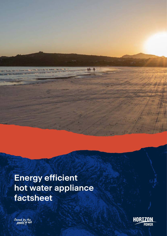# **Energy efficient hot water appliance factsheet**



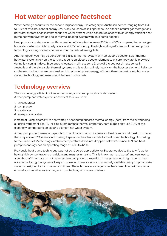## **Hot water appliance factsheet**

Water heating accounts for the second largest energy use category in Australian homes, ranging from 15% to 27%<sup>1</sup> of total household energy use. Many households in Esperance use either a natural gas storage tank hot water system or an instantaneous hot water system which can be replaced with an energy efficient heat pump hot water system or a solar thermal heating system with an electric booster.

Heat pump hot water systems offer operating efficiencies between 250% to 400% compared to natural gas hot water systems which usually operate at 75%<sup>2</sup> efficiency. The high working efficiency of the heat pump technology can significantly decrease your household energy bills.

Another option you may be considering is a solar thermal system with an electric booster. Solar thermal hot water systems rely on the sun, and require an electric booster element to ensure hot water is provided during low sunlight days. Esperance is located in climate zone 5, one of the coolest climate zones in Australia and therefore solar thermal systems in this region will rely heavily on the booster element. Reliance on the electric booster element makes this technology less energy efficient than the heat pump hot water system technology, and results in higher electricity costs.

## **Technology overview**

The most energy efficient hot water technology is a heat pump hot water system. A heat pump hot water system consists of four key units:

- 1. an evaporator
- 2. compressor
- 3. condenser
- 4. an expansion valve.

Instead of using electricity to heat water, a heat pump absorbs thermal energy (heat) from the surrounding air using refrigerant gas. By utilising a refrigerant's thermal properties, heat pumps only use 30% of the electricity compared to an electric element hot water system.

A heat pump's performance depends on the climate in which it operates. Heat pumps work best in climates that stay above 0ºC year-round, making Esperance the ideal climate for heat pump technology. According to the Bureau of Meteorology, ambient temperatures have not dropped below 0°C since 1971 and heat pump technology has an operating range of -5ºC to 42ºC.

Previously, heat pump technology was not considered appropriate for Esperance due to the town's water having high concentrations of calcium and magnesium salts. This is known as 'hard water' and can lead to a build-up of lime scale on hot water system components, resulting in the system working harder to heat water or reducing the system's lifespan. However, there are now commercially available heat pump hot water systems designed for hard water conditions. These hot water storage tanks have been lined with a special enamel such as vitreous enamel, which protects against scale build-up.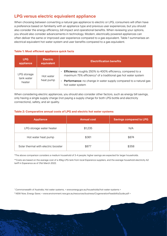### **LPG versus electric equivalent appliance**

When choosing between converting a natural gas appliance to electric or LPG, consumers will often have a preference based on familiarity with an appliance type and previous user experiences, but you should also consider the energy efficiency, bill impact and operational benefits. When reviewing your options, you should also consider advancements in technology. Modern, electrically powered appliances can often deliver the same or improved user experience compared to a gas equivalent. Table 1 summarises an electrical equivalent hot water system and user benefits compared to a gas equivalent.

#### **Table 1: Most efficient appliance quick facts**

| <b>LPG</b><br>appliance             | <b>Electric</b><br>equivalent | <b>Electrification benefits</b>                                                                                                                                                                                                          |
|-------------------------------------|-------------------------------|------------------------------------------------------------------------------------------------------------------------------------------------------------------------------------------------------------------------------------------|
| LPG storage<br>tank water<br>heater | Hot water<br>heat pump        | <b>Efficiency:</b> roughly 250% to 400% efficiency, compared to a<br>maximum 75% efficiency <sup>2</sup> of a traditional gas hot water system<br>• Performance: no change in water supply compared to a natural gas<br>hot water system |

When considering electric appliances, you should also consider other factors, such as energy bill savings, only having a single supply charge (not paying a supply charge for both LPG bottle and electricity connections), safety, and air quality.

#### **Table 2: Comparative annual costs of LPG and electric hot water systems**

| <b>Appliance</b>                    | <b>Annual cost</b> | <b>Savings compared to LPG</b> |
|-------------------------------------|--------------------|--------------------------------|
| LPG storage water heater            | \$1,235            | N/A                            |
| Hot water heat pump                 | \$361              | \$874                          |
| Solar thermal with electric booster | \$877              | \$358                          |

\*The above comparison considers a medium household of 3-4 people; higher savings are expected for larger households.

\*\*Costs are based on the average cost of a 45kg LPG tank from local Esperance suppliers, and the average household electricity A2 tariff in Esperance as of 31st March 2022.

<sup>1</sup> Commonwealth of Australia, Hot water systems, < www.energy.gov.au/households/hot-water-systems >

<sup>2</sup> NSW Now, Energy Saver, < www.environment.nsw.gov.au/resources/business/CogenerationFeasibilityGuide.pdf >